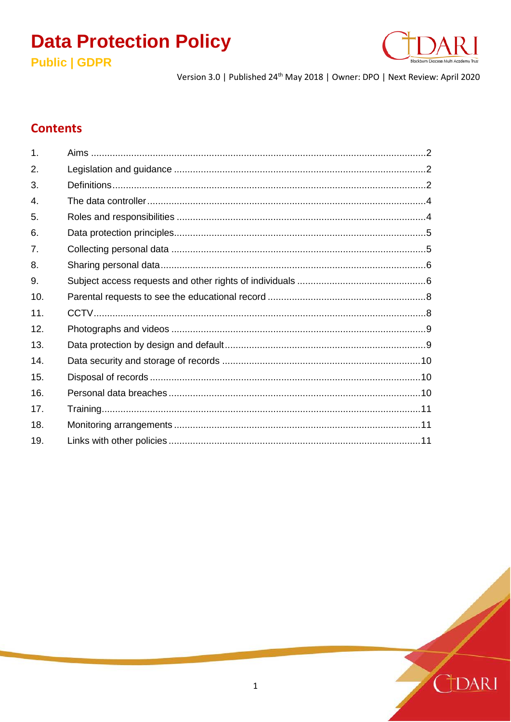# **Data Protection Policy**





Version 3.0 | Published 24<sup>th</sup> May 2018 | Owner: DPO | Next Review: April 2020

# **Contents**

| 1.             |  |
|----------------|--|
| 2.             |  |
| 3.             |  |
| 4.             |  |
| 5.             |  |
| 6.             |  |
| 7 <sub>1</sub> |  |
| 8.             |  |
| 9.             |  |
| 10.            |  |
| 11.            |  |
| 12.            |  |
| 13.            |  |
| 14.            |  |
| 15.            |  |
| 16.            |  |
| 17.            |  |
| 18.            |  |
| 19.            |  |
|                |  |

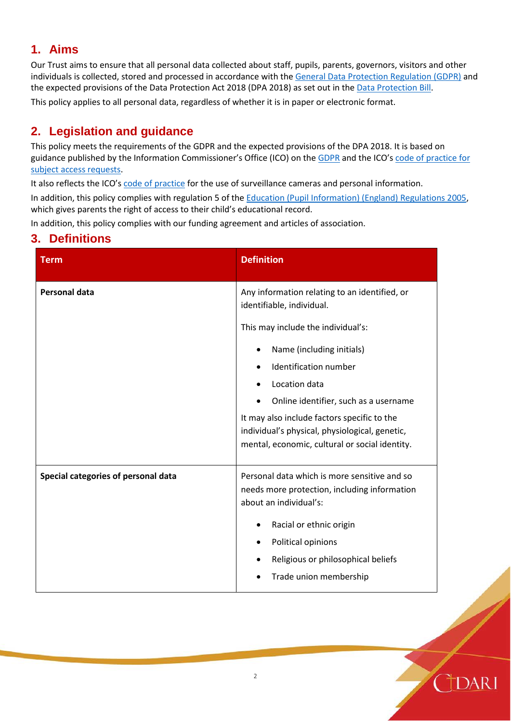# **1. Aims**

Our Trust aims to ensure that all personal data collected about staff, pupils, parents, governors, visitors and other individuals is collected, stored and processed in accordance with the [General Data Protection Regulation \(GDPR\)](http://data.consilium.europa.eu/doc/document/ST-5419-2016-INIT/en/pdf) and the expected provisions of the Data Protection Act 2018 (DPA 2018) as set out in th[e Data Protection Bill.](https://publications.parliament.uk/pa/bills/cbill/2017-2019/0153/18153.pdf)

This policy applies to all personal data, regardless of whether it is in paper or electronic format.

# **2. Legislation and guidance**

This policy meets the requirements of the GDPR and the expected provisions of the DPA 2018. It is based on guidance published by the Information Commissioner's Office (ICO) on th[e GDPR](https://ico.org.uk/for-organisations/guide-to-the-general-data-protection-regulation-gdpr/) and the ICO'[s code of practice for](https://ico.org.uk/media/for-organisations/documents/2014223/subject-access-code-of-practice.pdf)  [subject access requests.](https://ico.org.uk/media/for-organisations/documents/2014223/subject-access-code-of-practice.pdf)

It also reflects the ICO's [code of practice](https://ico.org.uk/media/for-organisations/documents/1542/cctv-code-of-practice.pdf) for the use of surveillance cameras and personal information.

In addition, this policy complies with regulation 5 of the [Education \(Pupil Information\) \(England\) Regulations 2005,](http://www.legislation.gov.uk/uksi/2005/1437/regulation/5/made) which gives parents the right of access to their child's educational record.

In addition, this policy complies with our funding agreement and articles of association.

### **3. Definitions**

| <b>Term</b>                         | <b>Definition</b>                                                                                                                               |
|-------------------------------------|-------------------------------------------------------------------------------------------------------------------------------------------------|
| <b>Personal data</b>                | Any information relating to an identified, or<br>identifiable, individual.                                                                      |
|                                     | This may include the individual's:                                                                                                              |
|                                     | Name (including initials)<br>$\bullet$                                                                                                          |
|                                     | Identification number                                                                                                                           |
|                                     | Location data                                                                                                                                   |
|                                     | Online identifier, such as a username                                                                                                           |
|                                     | It may also include factors specific to the<br>individual's physical, physiological, genetic,<br>mental, economic, cultural or social identity. |
| Special categories of personal data | Personal data which is more sensitive and so<br>needs more protection, including information<br>about an individual's:                          |
|                                     | Racial or ethnic origin                                                                                                                         |
|                                     | Political opinions                                                                                                                              |
|                                     | Religious or philosophical beliefs                                                                                                              |
|                                     | Trade union membership                                                                                                                          |

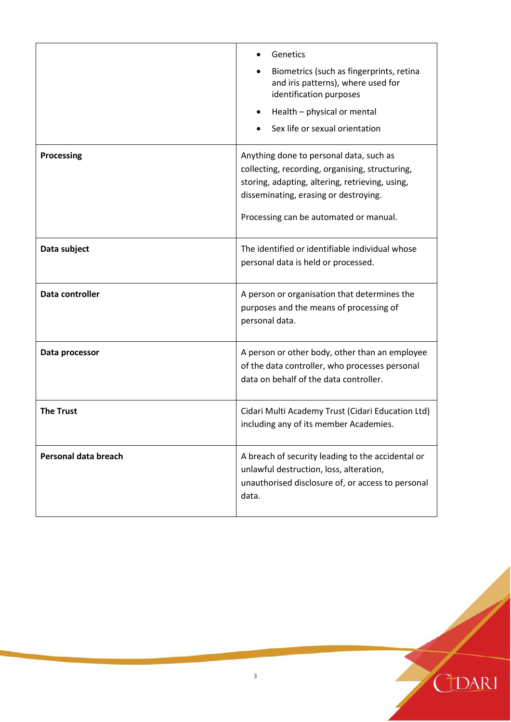|                      | Genetics<br>Biometrics (such as fingerprints, retina<br>and iris patterns), where used for<br>identification purposes<br>Health - physical or mental<br>Sex life or sexual orientation                                           |
|----------------------|----------------------------------------------------------------------------------------------------------------------------------------------------------------------------------------------------------------------------------|
| Processing           | Anything done to personal data, such as<br>collecting, recording, organising, structuring,<br>storing, adapting, altering, retrieving, using,<br>disseminating, erasing or destroying.<br>Processing can be automated or manual. |
| Data subject         | The identified or identifiable individual whose<br>personal data is held or processed.                                                                                                                                           |
| Data controller      | A person or organisation that determines the<br>purposes and the means of processing of<br>personal data.                                                                                                                        |
| Data processor       | A person or other body, other than an employee<br>of the data controller, who processes personal<br>data on behalf of the data controller.                                                                                       |
| <b>The Trust</b>     | Cidari Multi Academy Trust (Cidari Education Ltd)<br>including any of its member Academies.                                                                                                                                      |
| Personal data breach | A breach of security leading to the accidental or<br>unlawful destruction, loss, alteration,<br>unauthorised disclosure of, or access to personal<br>data.                                                                       |

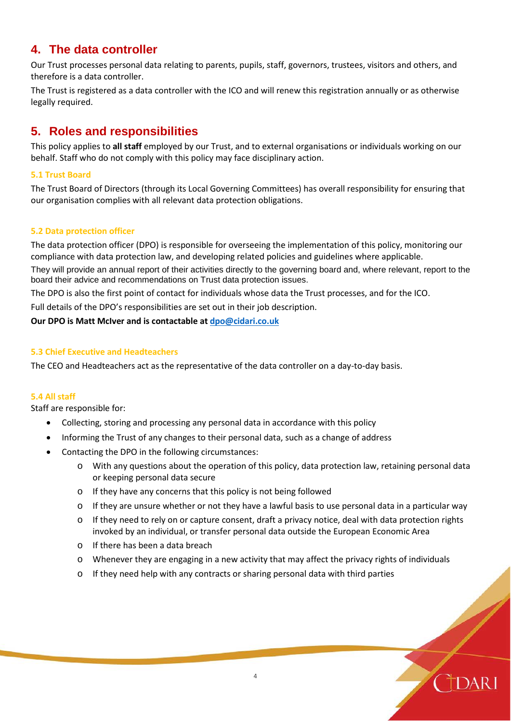# **4. The data controller**

Our Trust processes personal data relating to parents, pupils, staff, governors, trustees, visitors and others, and therefore is a data controller.

The Trust is registered as a data controller with the ICO and will renew this registration annually or as otherwise legally required.

# **5. Roles and responsibilities**

This policy applies to **all staff** employed by our Trust, and to external organisations or individuals working on our behalf. Staff who do not comply with this policy may face disciplinary action.

#### **5.1 Trust Board**

The Trust Board of Directors (through its Local Governing Committees) has overall responsibility for ensuring that our organisation complies with all relevant data protection obligations.

#### **5.2 Data protection officer**

The data protection officer (DPO) is responsible for overseeing the implementation of this policy, monitoring our compliance with data protection law, and developing related policies and guidelines where applicable.

They will provide an annual report of their activities directly to the governing board and, where relevant, report to the board their advice and recommendations on Trust data protection issues.

The DPO is also the first point of contact for individuals whose data the Trust processes, and for the ICO.

Full details of the DPO's responsibilities are set out in their job description.

**Our DPO is Matt McIver and is contactable a[t dpo@cidari.co.uk](mailto:dpo@cidari.co.uk)**

#### **5.3 Chief Executive and Headteachers**

The CEO and Headteachers act as the representative of the data controller on a day-to-day basis.

#### **5.4 All staff**

Staff are responsible for:

- Collecting, storing and processing any personal data in accordance with this policy
- Informing the Trust of any changes to their personal data, such as a change of address
- Contacting the DPO in the following circumstances:
	- $\circ$  With any questions about the operation of this policy, data protection law, retaining personal data or keeping personal data secure
	- o If they have any concerns that this policy is not being followed
	- $\circ$  If they are unsure whether or not they have a lawful basis to use personal data in a particular way
	- o If they need to rely on or capture consent, draft a privacy notice, deal with data protection rights invoked by an individual, or transfer personal data outside the European Economic Area
	- o If there has been a data breach
	- $\circ$  Whenever they are engaging in a new activity that may affect the privacy rights of individuals
	- $\circ$  If they need help with any contracts or sharing personal data with third parties

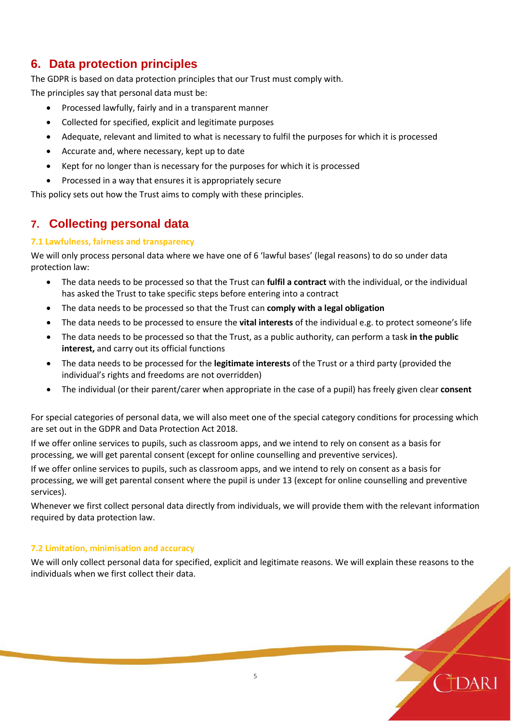# **6. Data protection principles**

The GDPR is based on data protection principles that our Trust must comply with. The principles say that personal data must be:

- Processed lawfully, fairly and in a transparent manner
- Collected for specified, explicit and legitimate purposes
- Adequate, relevant and limited to what is necessary to fulfil the purposes for which it is processed
- Accurate and, where necessary, kept up to date
- Kept for no longer than is necessary for the purposes for which it is processed
- Processed in a way that ensures it is appropriately secure

This policy sets out how the Trust aims to comply with these principles.

### **7. Collecting personal data**

#### **7.1 Lawfulness, fairness and transparency**

We will only process personal data where we have one of 6 'lawful bases' (legal reasons) to do so under data protection law:

- The data needs to be processed so that the Trust can **fulfil a contract** with the individual, or the individual has asked the Trust to take specific steps before entering into a contract
- The data needs to be processed so that the Trust can **comply with a legal obligation**
- The data needs to be processed to ensure the **vital interests** of the individual e.g. to protect someone's life
- The data needs to be processed so that the Trust, as a public authority, can perform a task **in the public interest,** and carry out its official functions
- The data needs to be processed for the **legitimate interests** of the Trust or a third party (provided the individual's rights and freedoms are not overridden)
- The individual (or their parent/carer when appropriate in the case of a pupil) has freely given clear **consent**

For special categories of personal data, we will also meet one of the special category conditions for processing which are set out in the GDPR and Data Protection Act 2018.

If we offer online services to pupils, such as classroom apps, and we intend to rely on consent as a basis for processing, we will get parental consent (except for online counselling and preventive services).

If we offer online services to pupils, such as classroom apps, and we intend to rely on consent as a basis for processing, we will get parental consent where the pupil is under 13 (except for online counselling and preventive services).

Whenever we first collect personal data directly from individuals, we will provide them with the relevant information required by data protection law.

#### **7.2 Limitation, minimisation and accuracy**

We will only collect personal data for specified, explicit and legitimate reasons. We will explain these reasons to the individuals when we first collect their data.

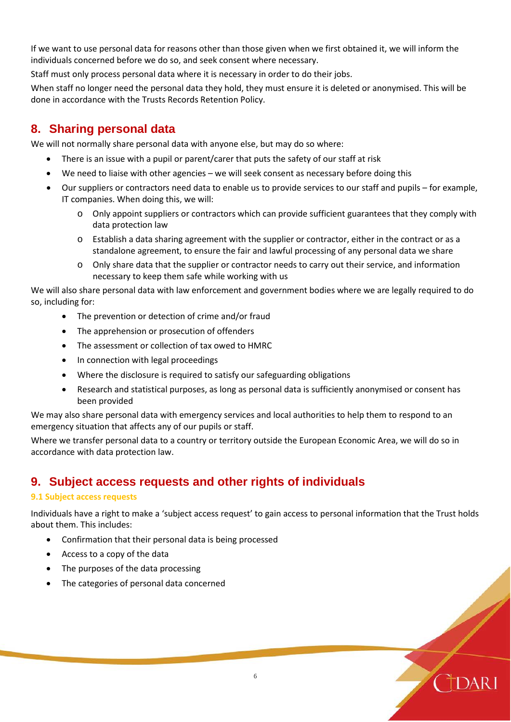If we want to use personal data for reasons other than those given when we first obtained it, we will inform the individuals concerned before we do so, and seek consent where necessary.

Staff must only process personal data where it is necessary in order to do their jobs.

When staff no longer need the personal data they hold, they must ensure it is deleted or anonymised. This will be done in accordance with the Trusts Records Retention Policy.

### **8. Sharing personal data**

We will not normally share personal data with anyone else, but may do so where:

- There is an issue with a pupil or parent/carer that puts the safety of our staff at risk
- We need to liaise with other agencies we will seek consent as necessary before doing this
- Our suppliers or contractors need data to enable us to provide services to our staff and pupils for example, IT companies. When doing this, we will:
	- o Only appoint suppliers or contractors which can provide sufficient guarantees that they comply with data protection law
	- o Establish a data sharing agreement with the supplier or contractor, either in the contract or as a standalone agreement, to ensure the fair and lawful processing of any personal data we share
	- o Only share data that the supplier or contractor needs to carry out their service, and information necessary to keep them safe while working with us

We will also share personal data with law enforcement and government bodies where we are legally required to do so, including for:

- The prevention or detection of crime and/or fraud
- The apprehension or prosecution of offenders
- The assessment or collection of tax owed to HMRC
- In connection with legal proceedings
- Where the disclosure is required to satisfy our safeguarding obligations
- Research and statistical purposes, as long as personal data is sufficiently anonymised or consent has been provided

We may also share personal data with emergency services and local authorities to help them to respond to an emergency situation that affects any of our pupils or staff.

Where we transfer personal data to a country or territory outside the European Economic Area, we will do so in accordance with data protection law.

### **9. Subject access requests and other rights of individuals**

#### **9.1 Subject access requests**

Individuals have a right to make a 'subject access request' to gain access to personal information that the Trust holds about them. This includes:

- Confirmation that their personal data is being processed
- Access to a copy of the data
- The purposes of the data processing
- The categories of personal data concerned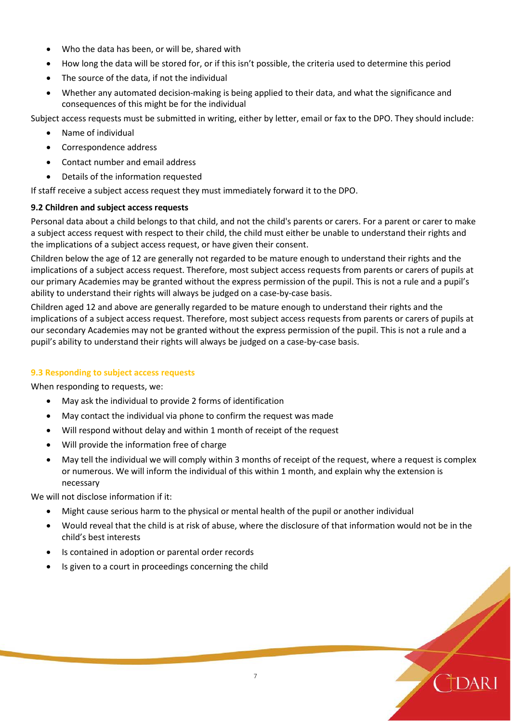- Who the data has been, or will be, shared with
- How long the data will be stored for, or if this isn't possible, the criteria used to determine this period
- The source of the data, if not the individual
- Whether any automated decision-making is being applied to their data, and what the significance and consequences of this might be for the individual

Subject access requests must be submitted in writing, either by letter, email or fax to the DPO. They should include:

- Name of individual
- Correspondence address
- Contact number and email address
- Details of the information requested

If staff receive a subject access request they must immediately forward it to the DPO.

#### **9.2 Children and subject access requests**

Personal data about a child belongs to that child, and not the child's parents or carers. For a parent or carer to make a subject access request with respect to their child, the child must either be unable to understand their rights and the implications of a subject access request, or have given their consent.

Children below the age of 12 are generally not regarded to be mature enough to understand their rights and the implications of a subject access request. Therefore, most subject access requests from parents or carers of pupils at our primary Academies may be granted without the express permission of the pupil. This is not a rule and a pupil's ability to understand their rights will always be judged on a case-by-case basis.

Children aged 12 and above are generally regarded to be mature enough to understand their rights and the implications of a subject access request. Therefore, most subject access requests from parents or carers of pupils at our secondary Academies may not be granted without the express permission of the pupil. This is not a rule and a pupil's ability to understand their rights will always be judged on a case-by-case basis.

#### **9.3 Responding to subject access requests**

When responding to requests, we:

- May ask the individual to provide 2 forms of identification
- May contact the individual via phone to confirm the request was made
- Will respond without delay and within 1 month of receipt of the request
- Will provide the information free of charge
- May tell the individual we will comply within 3 months of receipt of the request, where a request is complex or numerous. We will inform the individual of this within 1 month, and explain why the extension is necessary

We will not disclose information if it:

- Might cause serious harm to the physical or mental health of the pupil or another individual
- Would reveal that the child is at risk of abuse, where the disclosure of that information would not be in the child's best interests
- Is contained in adoption or parental order records
- Is given to a court in proceedings concerning the child

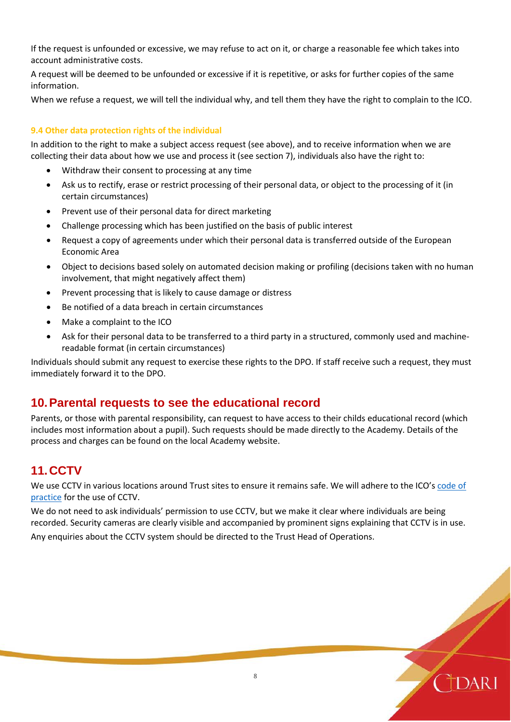If the request is unfounded or excessive, we may refuse to act on it, or charge a reasonable fee which takes into account administrative costs.

A request will be deemed to be unfounded or excessive if it is repetitive, or asks for further copies of the same information.

When we refuse a request, we will tell the individual why, and tell them they have the right to complain to the ICO.

#### **9.4 Other data protection rights of the individual**

In addition to the right to make a subject access request (see above), and to receive information when we are collecting their data about how we use and process it (see section 7), individuals also have the right to:

- Withdraw their consent to processing at any time
- Ask us to rectify, erase or restrict processing of their personal data, or object to the processing of it (in certain circumstances)
- Prevent use of their personal data for direct marketing
- Challenge processing which has been justified on the basis of public interest
- Request a copy of agreements under which their personal data is transferred outside of the European Economic Area
- Object to decisions based solely on automated decision making or profiling (decisions taken with no human involvement, that might negatively affect them)
- Prevent processing that is likely to cause damage or distress
- Be notified of a data breach in certain circumstances
- Make a complaint to the ICO
- Ask for their personal data to be transferred to a third party in a structured, commonly used and machinereadable format (in certain circumstances)

Individuals should submit any request to exercise these rights to the DPO. If staff receive such a request, they must immediately forward it to the DPO.

### **10.Parental requests to see the educational record**

Parents, or those with parental responsibility, can request to have access to their childs educational record (which includes most information about a pupil). Such requests should be made directly to the Academy. Details of the process and charges can be found on the local Academy website.

# **11.CCTV**

We use CCTV in various locations around Trust sites to ensure it remains safe. We will adhere to the ICO's code of [practice](https://ico.org.uk/media/for-organisations/documents/1542/cctv-code-of-practice.pdf) for the use of CCTV.

We do not need to ask individuals' permission to use CCTV, but we make it clear where individuals are being recorded. Security cameras are clearly visible and accompanied by prominent signs explaining that CCTV is in use. Any enquiries about the CCTV system should be directed to the Trust Head of Operations.

8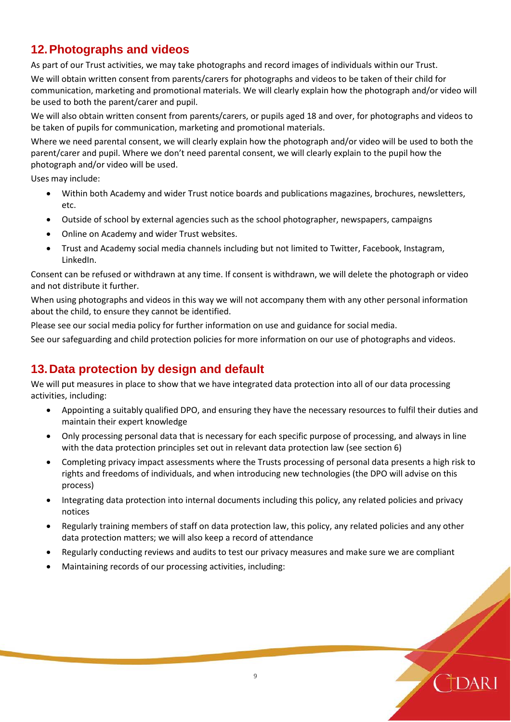# **12.Photographs and videos**

As part of our Trust activities, we may take photographs and record images of individuals within our Trust.

We will obtain written consent from parents/carers for photographs and videos to be taken of their child for communication, marketing and promotional materials. We will clearly explain how the photograph and/or video will be used to both the parent/carer and pupil.

We will also obtain written consent from parents/carers, or pupils aged 18 and over, for photographs and videos to be taken of pupils for communication, marketing and promotional materials.

Where we need parental consent, we will clearly explain how the photograph and/or video will be used to both the parent/carer and pupil. Where we don't need parental consent, we will clearly explain to the pupil how the photograph and/or video will be used.

Uses may include:

- Within both Academy and wider Trust notice boards and publications magazines, brochures, newsletters, etc.
- Outside of school by external agencies such as the school photographer, newspapers, campaigns
- Online on Academy and wider Trust websites.
- Trust and Academy social media channels including but not limited to Twitter, Facebook, Instagram, LinkedIn.

Consent can be refused or withdrawn at any time. If consent is withdrawn, we will delete the photograph or video and not distribute it further.

When using photographs and videos in this way we will not accompany them with any other personal information about the child, to ensure they cannot be identified.

Please see our social media policy for further information on use and guidance for social media.

See our safeguarding and child protection policies for more information on our use of photographs and videos.

# **13.Data protection by design and default**

We will put measures in place to show that we have integrated data protection into all of our data processing activities, including:

- Appointing a suitably qualified DPO, and ensuring they have the necessary resources to fulfil their duties and maintain their expert knowledge
- Only processing personal data that is necessary for each specific purpose of processing, and always in line with the data protection principles set out in relevant data protection law (see section 6)
- Completing privacy impact assessments where the Trusts processing of personal data presents a high risk to rights and freedoms of individuals, and when introducing new technologies (the DPO will advise on this process)
- Integrating data protection into internal documents including this policy, any related policies and privacy notices
- Regularly training members of staff on data protection law, this policy, any related policies and any other data protection matters; we will also keep a record of attendance
- Regularly conducting reviews and audits to test our privacy measures and make sure we are compliant
- Maintaining records of our processing activities, including:

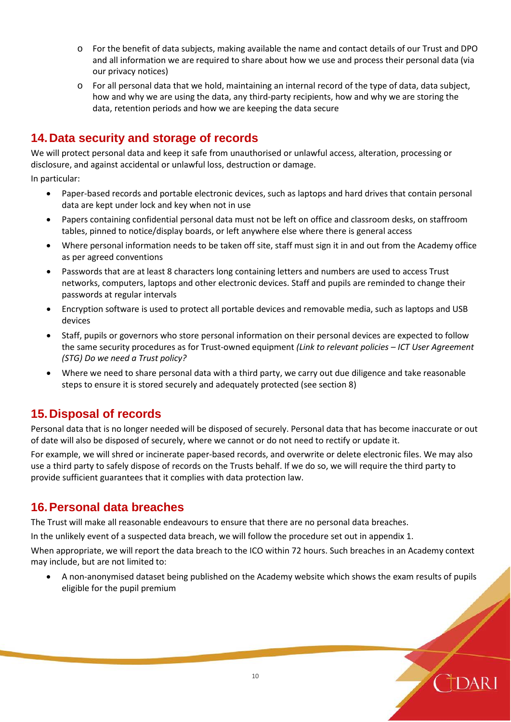- o For the benefit of data subjects, making available the name and contact details of our Trust and DPO and all information we are required to share about how we use and process their personal data (via our privacy notices)
- o For all personal data that we hold, maintaining an internal record of the type of data, data subject, how and why we are using the data, any third-party recipients, how and why we are storing the data, retention periods and how we are keeping the data secure

### **14.Data security and storage of records**

We will protect personal data and keep it safe from unauthorised or unlawful access, alteration, processing or disclosure, and against accidental or unlawful loss, destruction or damage.

In particular:

- Paper-based records and portable electronic devices, such as laptops and hard drives that contain personal data are kept under lock and key when not in use
- Papers containing confidential personal data must not be left on office and classroom desks, on staffroom tables, pinned to notice/display boards, or left anywhere else where there is general access
- Where personal information needs to be taken off site, staff must sign it in and out from the Academy office as per agreed conventions
- Passwords that are at least 8 characters long containing letters and numbers are used to access Trust networks, computers, laptops and other electronic devices. Staff and pupils are reminded to change their passwords at regular intervals
- Encryption software is used to protect all portable devices and removable media, such as laptops and USB devices
- Staff, pupils or governors who store personal information on their personal devices are expected to follow the same security procedures as for Trust-owned equipment *(Link to relevant policies – ICT User Agreement (STG) Do we need a Trust policy?*
- Where we need to share personal data with a third party, we carry out due diligence and take reasonable steps to ensure it is stored securely and adequately protected (see section 8)

### **15.Disposal of records**

Personal data that is no longer needed will be disposed of securely. Personal data that has become inaccurate or out of date will also be disposed of securely, where we cannot or do not need to rectify or update it.

For example, we will shred or incinerate paper-based records, and overwrite or delete electronic files. We may also use a third party to safely dispose of records on the Trusts behalf. If we do so, we will require the third party to provide sufficient guarantees that it complies with data protection law.

### **16.Personal data breaches**

The Trust will make all reasonable endeavours to ensure that there are no personal data breaches.

In the unlikely event of a suspected data breach, we will follow the procedure set out in appendix 1.

When appropriate, we will report the data breach to the ICO within 72 hours. Such breaches in an Academy context may include, but are not limited to:

• A non-anonymised dataset being published on the Academy website which shows the exam results of pupils eligible for the pupil premium

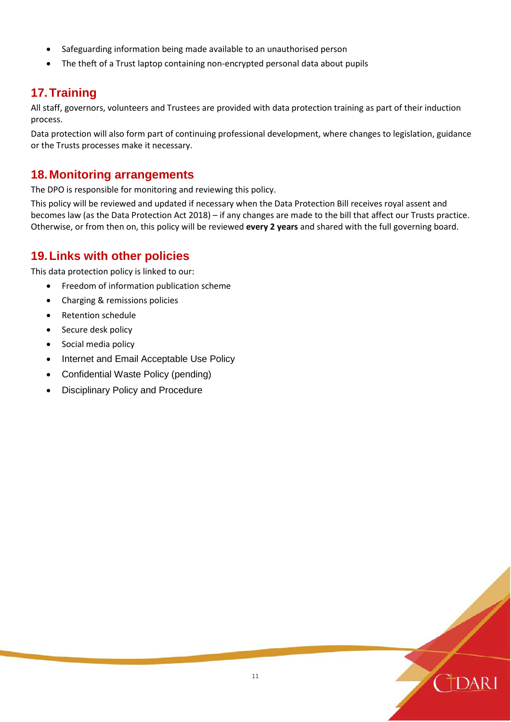- Safeguarding information being made available to an unauthorised person
- The theft of a Trust laptop containing non-encrypted personal data about pupils

### **17.Training**

All staff, governors, volunteers and Trustees are provided with data protection training as part of their induction process.

Data protection will also form part of continuing professional development, where changes to legislation, guidance or the Trusts processes make it necessary.

### **18.Monitoring arrangements**

The DPO is responsible for monitoring and reviewing this policy.

This policy will be reviewed and updated if necessary when the Data Protection Bill receives royal assent and becomes law (as the Data Protection Act 2018) – if any changes are made to the bill that affect our Trusts practice. Otherwise, or from then on, this policy will be reviewed **every 2 years** and shared with the full governing board.

### **19.Links with other policies**

This data protection policy is linked to our:

- Freedom of information publication scheme
- Charging & remissions policies
- Retention schedule
- Secure desk policy
- Social media policy
- Internet and Email Acceptable Use Policy
- Confidential Waste Policy (pending)
- Disciplinary Policy and Procedure

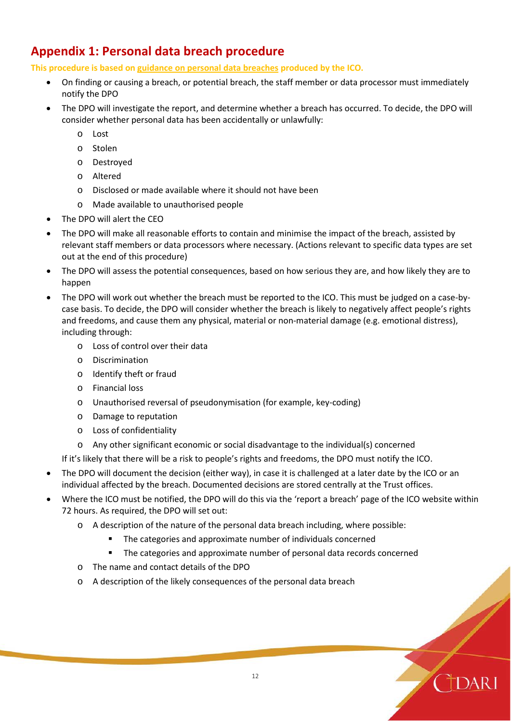# **Appendix 1: Personal data breach procedure**

**This procedure is based on [guidance on personal data breaches](https://ico.org.uk/for-organisations/guide-to-the-general-data-protection-regulation-gdpr/personal-data-breaches/) produced by the ICO.**

- On finding or causing a breach, or potential breach, the staff member or data processor must immediately notify the DPO
- The DPO will investigate the report, and determine whether a breach has occurred. To decide, the DPO will consider whether personal data has been accidentally or unlawfully:
	- o Lost
	- o Stolen
	- o Destroyed
	- o Altered
	- o Disclosed or made available where it should not have been
	- o Made available to unauthorised people
- The DPO will alert the CEO
- The DPO will make all reasonable efforts to contain and minimise the impact of the breach, assisted by relevant staff members or data processors where necessary. (Actions relevant to specific data types are set out at the end of this procedure)
- The DPO will assess the potential consequences, based on how serious they are, and how likely they are to happen
- The DPO will work out whether the breach must be reported to the ICO. This must be judged on a case-bycase basis. To decide, the DPO will consider whether the breach is likely to negatively affect people's rights and freedoms, and cause them any physical, material or non-material damage (e.g. emotional distress), including through:
	- o Loss of control over their data
	- o Discrimination
	- o Identify theft or fraud
	- o Financial loss
	- o Unauthorised reversal of pseudonymisation (for example, key-coding)
	- o Damage to reputation
	- o Loss of confidentiality
	- o Any other significant economic or social disadvantage to the individual(s) concerned

If it's likely that there will be a risk to people's rights and freedoms, the DPO must notify the ICO.

- The DPO will document the decision (either way), in case it is challenged at a later date by the ICO or an individual affected by the breach. Documented decisions are stored centrally at the Trust offices.
- Where the ICO must be notified, the DPO will do this via the ['report a breach' page of the ICO website](https://ico.org.uk/for-organisations/report-a-breach/) within 72 hours. As required, the DPO will set out:
	- o A description of the nature of the personal data breach including, where possible:
		- The categories and approximate number of individuals concerned
		- The categories and approximate number of personal data records concerned
	- o The name and contact details of the DPO
	- o A description of the likely consequences of the personal data breach